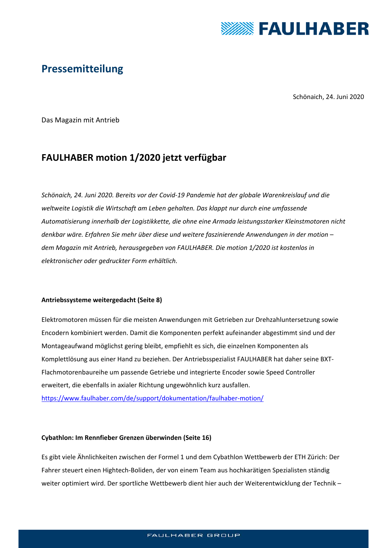

# **Pressemitteilung**

Schönaich, 24. Juni 2020

Das Magazin mit Antrieb

# **FAULHABER motion 1/2020 jetzt verfügbar**

*Schönaich, 24. Juni 2020. Bereits vor der Covid‐19 Pandemie hat der globale Warenkreislauf und die weltweite Logistik die Wirtschaft am Leben gehalten. Das klappt nur durch eine umfassende Automatisierung innerhalb der Logistikkette, die ohne eine Armada leistungsstarker Kleinstmotoren nicht denkbar wäre. Erfahren Sie mehr über diese und weitere faszinierende Anwendungen in der motion – dem Magazin mit Antrieb, herausgegeben von FAULHABER. Die motion 1/2020 ist kostenlos in elektronischer oder gedruckter Form erhältlich.* 

## **Antriebssysteme weitergedacht (Seite 8)**

Elektromotoren müssen für die meisten Anwendungen mit Getrieben zur Drehzahluntersetzung sowie Encodern kombiniert werden. Damit die Komponenten perfekt aufeinander abgestimmt sind und der Montageaufwand möglichst gering bleibt, empfiehlt es sich, die einzelnen Komponenten als Komplettlösung aus einer Hand zu beziehen. Der Antriebsspezialist FAULHABER hat daher seine BXT‐ Flachmotorenbaureihe um passende Getriebe und integrierte Encoder sowie Speed Controller erweitert, die ebenfalls in axialer Richtung ungewöhnlich kurz ausfallen. https://www.faulhaber.com/de/support/dokumentation/faulhaber‐motion/

## **Cybathlon: Im Rennfieber Grenzen überwinden (Seite 16)**

Es gibt viele Ähnlichkeiten zwischen der Formel 1 und dem Cybathlon Wettbewerb der ETH Zürich: Der Fahrer steuert einen Hightech‐Boliden, der von einem Team aus hochkarätigen Spezialisten ständig weiter optimiert wird. Der sportliche Wettbewerb dient hier auch der Weiterentwicklung der Technik –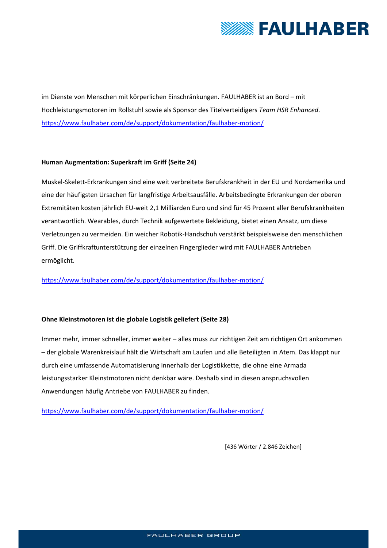

im Dienste von Menschen mit körperlichen Einschränkungen. FAULHABER ist an Bord – mit Hochleistungsmotoren im Rollstuhl sowie als Sponsor des Titelverteidigers *Team HSR Enhanced*. https://www.faulhaber.com/de/support/dokumentation/faulhaber-motion/

## **Human Augmentation: Superkraft im Griff (Seite 24)**

Muskel‐Skelett‐Erkrankungen sind eine weit verbreitete Berufskrankheit in der EU und Nordamerika und eine der häufigsten Ursachen für langfristige Arbeitsausfälle. Arbeitsbedingte Erkrankungen der oberen Extremitäten kosten jährlich EU‐weit 2,1 Milliarden Euro und sind für 45 Prozent aller Berufskrankheiten verantwortlich. Wearables, durch Technik aufgewertete Bekleidung, bietet einen Ansatz, um diese Verletzungen zu vermeiden. Ein weicher Robotik‐Handschuh verstärkt beispielsweise den menschlichen Griff. Die Griffkraftunterstützung der einzelnen Fingerglieder wird mit FAULHABER Antrieben ermöglicht.

https://www.faulhaber.com/de/support/dokumentation/faulhaber-motion/

## **Ohne Kleinstmotoren ist die globale Logistik geliefert (Seite 28)**

Immer mehr, immer schneller, immer weiter – alles muss zur richtigen Zeit am richtigen Ort ankommen – der globale Warenkreislauf hält die Wirtschaft am Laufen und alle Beteiligten in Atem. Das klappt nur durch eine umfassende Automatisierung innerhalb der Logistikkette, die ohne eine Armada leistungsstarker Kleinstmotoren nicht denkbar wäre. Deshalb sind in diesen anspruchsvollen Anwendungen häufig Antriebe von FAULHABER zu finden.

https://www.faulhaber.com/de/support/dokumentation/faulhaber‐motion/

[436 Wörter / 2.846 Zeichen]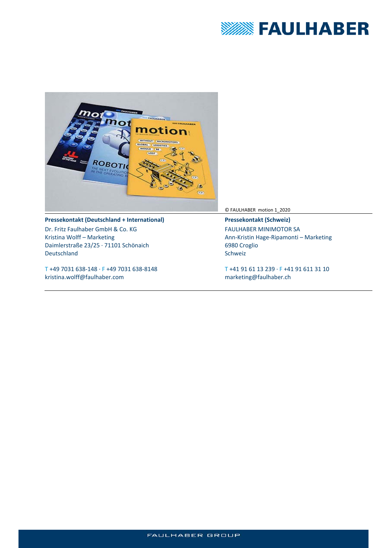



#### **Pressekontakt (Deutschland + International)**

Dr. Fritz Faulhaber GmbH & Co. KG Kristina Wolff – Marketing Daimlerstraße 23/25 ∙ 71101 Schönaich Deutschland

T +49 7031 638‐148 ∙ F +49 7031 638‐8148 kristina.wolff@faulhaber.com

© FAULHABER motion 1\_2020

**Pressekontakt (Schweiz)**  FAULHABER MINIMOTOR SA Ann‐Kristin Hage‐Ripamonti – Marketing 6980 Croglio Schweiz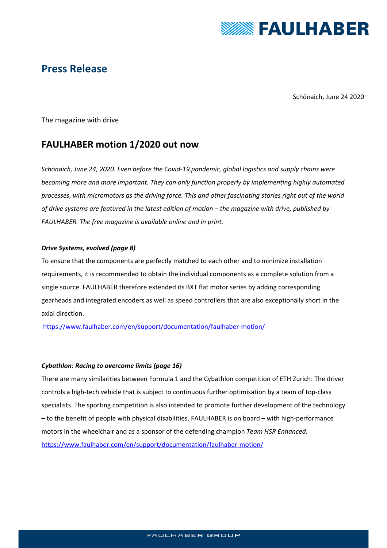

## **Press Release**

Schönaich, June 24 2020

The magazine with drive

## **FAULHABER motion 1/2020 out now**

*Schönaich, June 24, 2020. Even before the Covid‐19 pandemic, global logistics and supply chains were becoming more and more important. They can only function properly by implementing highly automated processes, with micromotors as the driving force. This and other fascinating stories right out of the world of drive systems are featured in the latest edition of motion – the magazine with drive, published by FAULHABER. The free magazine is available online and in print.* 

## *Drive Systems, evolved (page 8)*

To ensure that the components are perfectly matched to each other and to minimize installation requirements, it is recommended to obtain the individual components as a complete solution from a single source. FAULHABER therefore extended its BXT flat motor series by adding corresponding gearheads and integrated encoders as well as speed controllers that are also exceptionally short in the axial direction.

https://www.faulhaber.com/en/support/documentation/faulhaber‐motion/

## *Cybathlon: Racing to overcome limits (page 16)*

There are many similarities between Formula 1 and the Cybathlon competition of ETH Zurich: The driver controls a high‐tech vehicle that is subject to continuous further optimisation by a team of top‐class specialists. The sporting competition is also intended to promote further development of the technology – to the benefit of people with physical disabilities. FAULHABER is on board – with high‐performance motors in the wheelchair and as a sponsor of the defending champion *Team HSR Enhanced*. https://www.faulhaber.com/en/support/documentation/faulhaber-motion/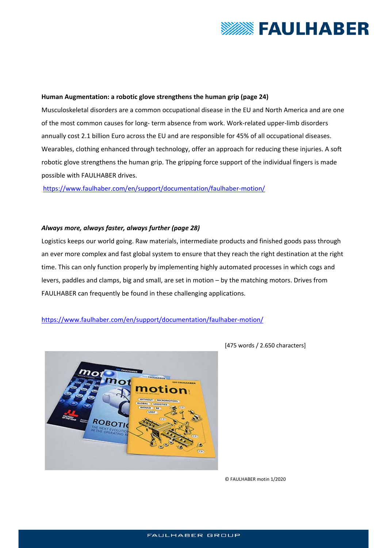

#### **Human Augmentation: a robotic glove strengthens the human grip (page 24)**

Musculoskeletal disorders are a common occupational disease in the EU and North America and are one of the most common causes for long‐ term absence from work. Work‐related upper‐limb disorders annually cost 2.1 billion Euro across the EU and are responsible for 45% of all occupational diseases. Wearables, clothing enhanced through technology, offer an approach for reducing these injuries. A soft robotic glove strengthens the human grip. The gripping force support of the individual fingers is made possible with FAULHABER drives.

https://www.faulhaber.com/en/support/documentation/faulhaber‐motion/

#### *Always more, always faster, always further (page 28)*

Logistics keeps our world going. Raw materials, intermediate products and finished goods pass through an ever more complex and fast global system to ensure that they reach the right destination at the right time. This can only function properly by implementing highly automated processes in which cogs and levers, paddles and clamps, big and small, are set in motion – by the matching motors. Drives from FAULHABER can frequently be found in these challenging applications.

#### https://www.faulhaber.com/en/support/documentation/faulhaber-motion/



[475 words / 2.650 characters]

© FAULHABER motin 1/2020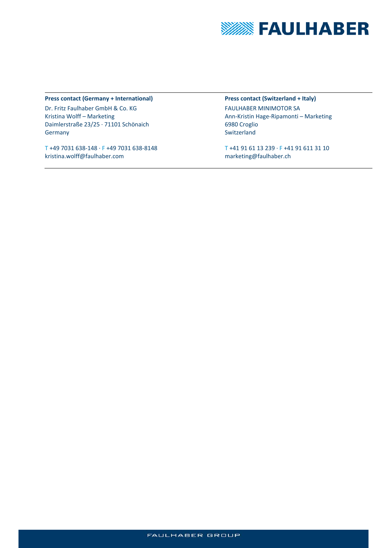

#### **Press contact (Germany + International)**

Dr. Fritz Faulhaber GmbH & Co. KG Kristina Wolff – Marketing Daimlerstraße 23/25 ∙ 71101 Schönaich Germany

T +49 7031 638‐148 ∙ F +49 7031 638‐8148 kristina.wolff@faulhaber.com

**Press contact (Switzerland + Italy)**  FAULHABER MINIMOTOR SA Ann‐Kristin Hage‐Ripamonti – Marketing 6980 Croglio Switzerland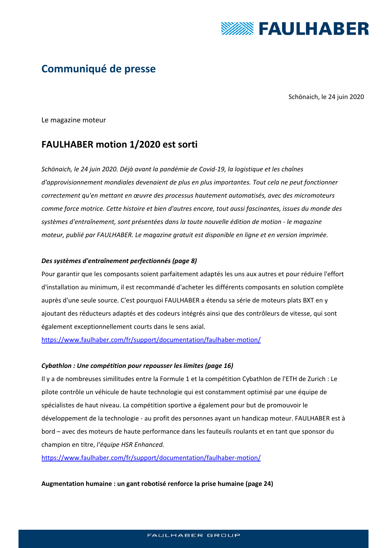

# **Communiqué de presse**

Schönaich, le 24 juin 2020

Le magazine moteur

## **FAULHABER motion 1/2020 est sorti**

*Schönaich, le 24 juin 2020. Déjà avant la pandémie de Covid‐19, la logistique et les chaînes d'approvisionnement mondiales devenaient de plus en plus importantes. Tout cela ne peut fonctionner correctement qu'en mettant en œuvre des processus hautement automatisés, avec des micromoteurs comme force motrice. Cette histoire et bien d'autres encore, tout aussi fascinantes, issues du monde des systèmes d'entraînement, sont présentées dans la toute nouvelle édition de motion ‐ le magazine moteur, publié par FAULHABER. Le magazine gratuit est disponible en ligne et en version imprimée.* 

## *Des systèmes d'entraînement perfectionnés (page 8)*

Pour garantir que les composants soient parfaitement adaptés les uns aux autres et pour réduire l'effort d'installation au minimum, il est recommandé d'acheter les différents composants en solution complète auprès d'une seule source. C'est pourquoi FAULHABER a étendu sa série de moteurs plats BXT en y ajoutant des réducteurs adaptés et des codeurs intégrés ainsi que des contrôleurs de vitesse, qui sont également exceptionnellement courts dans le sens axial.

https://www.faulhaber.com/fr/support/documentation/faulhaber-motion/

#### *Cybathlon : Une compétition pour repousser les limites (page 16)*

Il y a de nombreuses similitudes entre la Formule 1 et la compétition Cybathlon de l'ETH de Zurich : Le pilote contrôle un véhicule de haute technologie qui est constamment optimisé par une équipe de spécialistes de haut niveau. La compétition sportive a également pour but de promouvoir le développement de la technologie ‐ au profit des personnes ayant un handicap moteur. FAULHABER est à bord – avec des moteurs de haute performance dans les fauteuils roulants et en tant que sponsor du champion en titre, *l'équipe HSR Enhanced.* 

https://www.faulhaber.com/fr/support/documentation/faulhaber-motion/

#### **Augmentation humaine : un gant robotisé renforce la prise humaine (page 24)**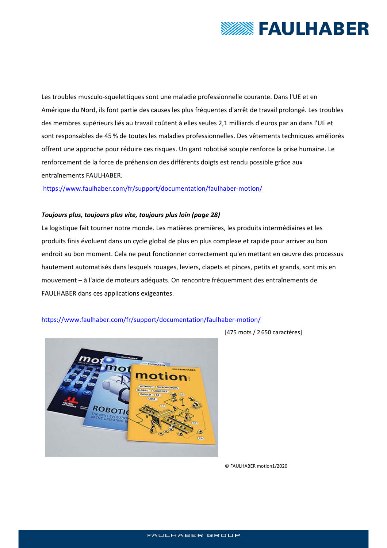

Les troubles musculo-squelettiques sont une maladie professionnelle courante. Dans l'UE et en Amérique du Nord, ils font partie des causes les plus fréquentes d'arrêt de travail prolongé. Les troubles des membres supérieurs liés au travail coûtent à elles seules 2,1 milliards d'euros par an dans l'UE et sont responsables de 45 % de toutes les maladies professionnelles. Des vêtements techniques améliorés offrent une approche pour réduire ces risques. Un gant robotisé souple renforce la prise humaine. Le renforcement de la force de préhension des différents doigts est rendu possible grâce aux entraînements FAULHABER.

## https://www.faulhaber.com/fr/support/documentation/faulhaber‐motion/

#### *Toujours plus, toujours plus vite, toujours plus loin (page 28)*

La logistique fait tourner notre monde. Les matières premières, les produits intermédiaires et les produits finis évoluent dans un cycle global de plus en plus complexe et rapide pour arriver au bon endroit au bon moment. Cela ne peut fonctionner correctement qu'en mettant en œuvre des processus hautement automatisés dans lesquels rouages, leviers, clapets et pinces, petits et grands, sont mis en mouvement – à l'aide de moteurs adéquats. On rencontre fréquemment des entraînements de FAULHABER dans ces applications exigeantes.

## https://www.faulhaber.com/fr/support/documentation/faulhaber-motion/



[475 mots / 2 650 caractères]

© FAULHABER motion1/2020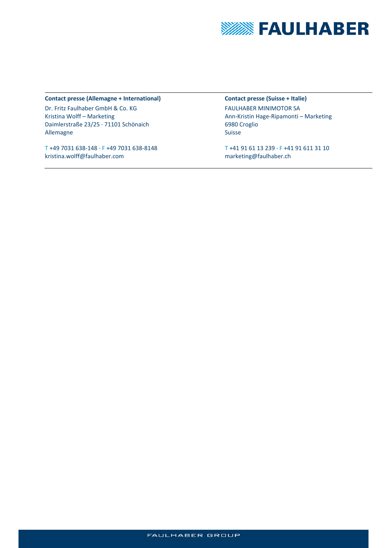

#### **Contact presse (Allemagne + International)**

Dr. Fritz Faulhaber GmbH & Co. KG Kristina Wolff – Marketing Daimlerstraße 23/25 ∙ 71101 Schönaich Allemagne

T +49 7031 638‐148 ∙ F +49 7031 638‐8148 kristina.wolff@faulhaber.com

**Contact presse (Suisse + Italie)**  FAULHABER MINIMOTOR SA Ann‐Kristin Hage‐Ripamonti – Marketing 6980 Croglio Suisse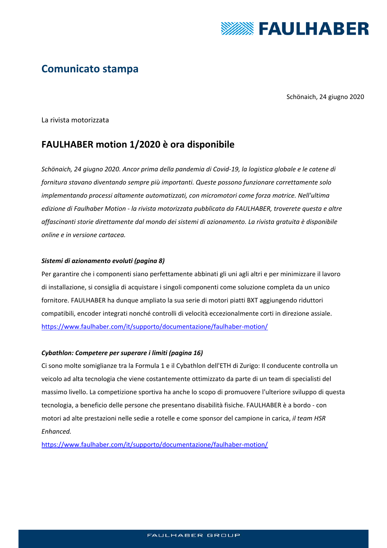

# **Comunicato stampa**

Schönaich, 24 giugno 2020

La rivista motorizzata

## **FAULHABER motion 1/2020 è ora disponibile**

*Schönaich, 24 giugno 2020. Ancor prima della pandemia di Covid‐19, la logistica globale e le catene di fornitura stavano diventando sempre più importanti. Queste possono funzionare correttamente solo implementando processi altamente automatizzati, con micromotori come forza motrice. Nell'ultima edizione di Faulhaber Motion ‐ la rivista motorizzata pubblicata da FAULHABER, troverete questa e altre affascinanti storie direttamente dal mondo dei sistemi di azionamento. La rivista gratuita è disponibile online e in versione cartacea.* 

#### *Sistemi di azionamento evoluti (pagina 8)*

Per garantire che i componenti siano perfettamente abbinati gli uni agli altri e per minimizzare il lavoro di installazione, si consiglia di acquistare i singoli componenti come soluzione completa da un unico fornitore. FAULHABER ha dunque ampliato la sua serie di motori piatti BXT aggiungendo riduttori compatibili, encoder integrati nonché controlli di velocità eccezionalmente corti in direzione assiale. https://www.faulhaber.com/it/supporto/documentazione/faulhaber-motion/

## *Cybathlon: Competere per superare i limiti (pagina 16)*

Ci sono molte somiglianze tra la Formula 1 e il Cybathlon dell'ETH di Zurigo: Il conducente controlla un veicolo ad alta tecnologia che viene costantemente ottimizzato da parte di un team di specialisti del massimo livello. La competizione sportiva ha anche lo scopo di promuovere l'ulteriore sviluppo di questa tecnologia, a beneficio delle persone che presentano disabilità fisiche. FAULHABER è a bordo ‐ con motori ad alte prestazioni nelle sedie a rotelle e come sponsor del campione in carica, *il team HSR Enhanced.*

https://www.faulhaber.com/it/supporto/documentazione/faulhaber-motion/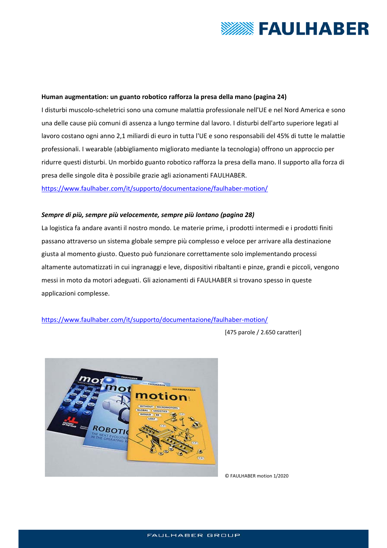

#### **Human augmentation: un guanto robotico rafforza la presa della mano (pagina 24)**

I disturbi muscolo‐scheletrici sono una comune malattia professionale nell'UE e nel Nord America e sono una delle cause più comuni di assenza a lungo termine dal lavoro. I disturbi dell'arto superiore legati al lavoro costano ogni anno 2,1 miliardi di euro in tutta l'UE e sono responsabili del 45% di tutte le malattie professionali. I wearable (abbigliamento migliorato mediante la tecnologia) offrono un approccio per ridurre questi disturbi. Un morbido guanto robotico rafforza la presa della mano. Il supporto alla forza di presa delle singole dita è possibile grazie agli azionamenti FAULHABER.

https://www.faulhaber.com/it/supporto/documentazione/faulhaber-motion/

#### *Sempre di più, sempre più velocemente, sempre più lontano (pagina 28)*

La logistica fa andare avanti il nostro mondo. Le materie prime, i prodotti intermedi e i prodotti finiti passano attraverso un sistema globale sempre più complesso e veloce per arrivare alla destinazione giusta al momento giusto. Questo può funzionare correttamente solo implementando processi altamente automatizzati in cui ingranaggi e leve, dispositivi ribaltanti e pinze, grandi e piccoli, vengono messi in moto da motori adeguati. Gli azionamenti di FAULHABER si trovano spesso in queste applicazioni complesse.

https://www.faulhaber.com/it/supporto/documentazione/faulhaber‐motion/

[475 parole / 2.650 caratteri]



© FAULHABER motion 1/2020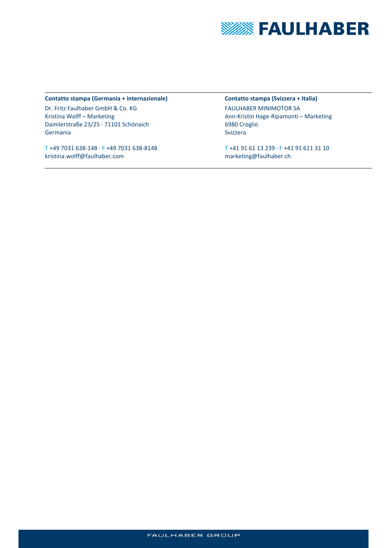

#### **Contatto stampa (Germania + internazionale)**

Dr. Fritz Faulhaber GmbH & Co. KG Kristina Wolff – Marketing Daimlerstraße 23/25 ∙ 71101 Schönaich Germania

T +49 7031 638‐148 ∙ F +49 7031 638‐8148 kristina.wolff@faulhaber.com

**Contatto stampa (Svizzera + Italia)**  FAULHABER MINIMOTOR SA Ann‐Kristin Hage‐Ripamonti – Marketing 6980 Croglio Svizzera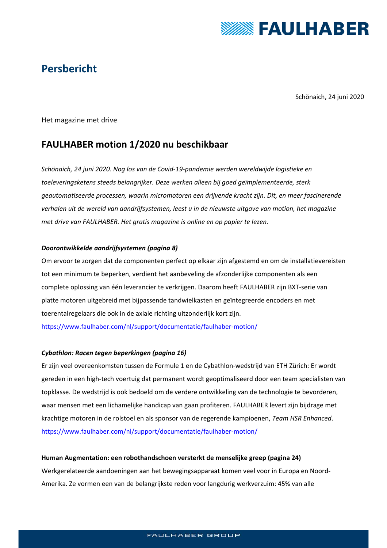

# **Persbericht**

Schönaich, 24 juni 2020

Het magazine met drive

## **FAULHABER motion 1/2020 nu beschikbaar**

*Schönaich, 24 juni 2020. Nog los van de Covid‐19‐pandemie werden wereldwijde logistieke en toeleveringsketens steeds belangrijker. Deze werken alleen bij goed geïmplementeerde, sterk geautomatiseerde processen, waarin micromotoren een drijvende kracht zijn. Dit, en meer fascinerende verhalen uit de wereld van aandrijfsystemen, leest u in de nieuwste uitgave van motion, het magazine met drive van FAULHABER. Het gratis magazine is online en op papier te lezen.* 

## *Doorontwikkelde aandrijfsystemen (pagina 8)*

Om ervoor te zorgen dat de componenten perfect op elkaar zijn afgestemd en om de installatievereisten tot een minimum te beperken, verdient het aanbeveling de afzonderlijke componenten als een complete oplossing van één leverancier te verkrijgen. Daarom heeft FAULHABER zijn BXT‐serie van platte motoren uitgebreid met bijpassende tandwielkasten en geïntegreerde encoders en met toerentalregelaars die ook in de axiale richting uitzonderlijk kort zijn.

https://www.faulhaber.com/nl/support/documentatie/faulhaber-motion/

## *Cybathlon: Racen tegen beperkingen (pagina 16)*

Er zijn veel overeenkomsten tussen de Formule 1 en de Cybathlon‐wedstrijd van ETH Zürich: Er wordt gereden in een high‐tech voertuig dat permanent wordt geoptimaliseerd door een team specialisten van topklasse. De wedstrijd is ook bedoeld om de verdere ontwikkeling van de technologie te bevorderen, waar mensen met een lichamelijke handicap van gaan profiteren. FAULHABER levert zijn bijdrage met krachtige motoren in de rolstoel en als sponsor van de regerende kampioenen, *Team HSR Enhanced*. https://www.faulhaber.com/nl/support/documentatie/faulhaber-motion/

## **Human Augmentation: een robothandschoen versterkt de menselijke greep (pagina 24)**

Werkgerelateerde aandoeningen aan het bewegingsapparaat komen veel voor in Europa en Noord‐ Amerika. Ze vormen een van de belangrijkste reden voor langdurig werkverzuim: 45% van alle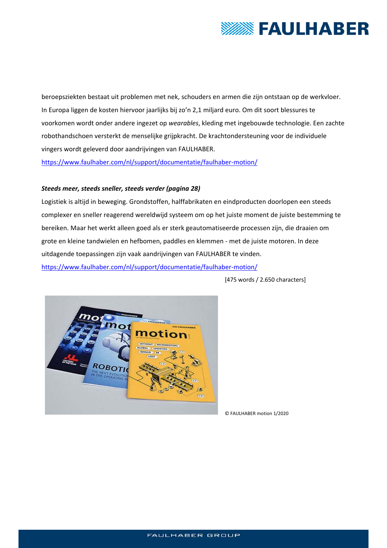

beroepsziekten bestaat uit problemen met nek, schouders en armen die zijn ontstaan op de werkvloer. In Europa liggen de kosten hiervoor jaarlijks bij zo'n 2,1 miljard euro. Om dit soort blessures te voorkomen wordt onder andere ingezet op *wearables*, kleding met ingebouwde technologie. Een zachte robothandschoen versterkt de menselijke grijpkracht. De krachtondersteuning voor de individuele vingers wordt geleverd door aandrijvingen van FAULHABER. https://www.faulhaber.com/nl/support/documentatie/faulhaber-motion/

## *Steeds meer, steeds sneller, steeds verder (pagina 28)*

Logistiek is altijd in beweging. Grondstoffen, halffabrikaten en eindproducten doorlopen een steeds complexer en sneller reagerend wereldwijd systeem om op het juiste moment de juiste bestemming te bereiken. Maar het werkt alleen goed als er sterk geautomatiseerde processen zijn, die draaien om grote en kleine tandwielen en hefbomen, paddles en klemmen ‐ met de juiste motoren. In deze uitdagende toepassingen zijn vaak aandrijvingen van FAULHABER te vinden. https://www.faulhaber.com/nl/support/documentatie/faulhaber-motion/

[475 words / 2.650 characters]



© FAULHABER motion 1/2020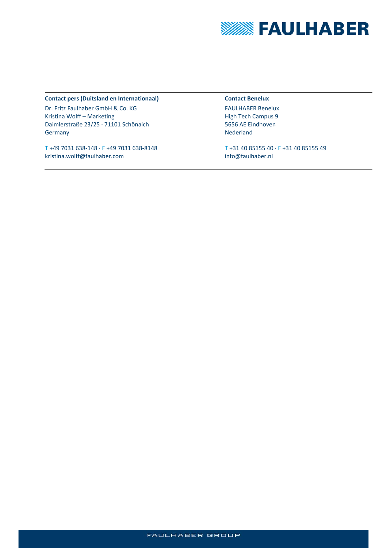

#### **Contact pers (Duitsland en Internationaal)**

Dr. Fritz Faulhaber GmbH & Co. KG Kristina Wolff – Marketing Daimlerstraße 23/25 ∙ 71101 Schönaich Germany

T +49 7031 638‐148 ∙ F +49 7031 638‐8148 kristina.wolff@faulhaber.com

#### **Contact Benelux**

FAULHABER Benelux High Tech Campus 9 5656 AE Eindhoven Nederland

T +31 40 85155 40 ∙ F +31 40 85155 49 info@faulhaber.nl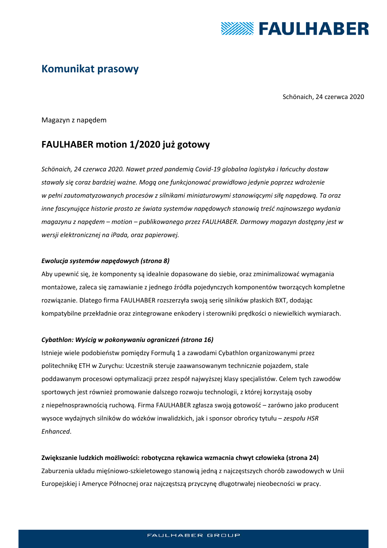

# **Komunikat prasowy**

Schönaich, 24 czerwca 2020

Magazyn z napędem

## **FAULHABER motion 1/2020 już gotowy**

*Schönaich, 24 czerwca 2020. Nawet przed pandemią Covid‐19 globalna logistyka i łańcuchy dostaw stawały się coraz bardziej ważne. Mogą one funkcjonować prawidłowo jedynie poprzez wdrożenie w pełni zautomatyzowanych procesów z silnikami miniaturowymi stanowiącymi siłę napędową. Ta oraz inne fascynujące historie prosto ze świata systemów napędowych stanowią treść najnowszego wydania magazynu z napędem – motion – publikowanego przez FAULHABER. Darmowy magazyn dostępny jest w wersji elektronicznej na iPada, oraz papierowej.* 

## *Ewolucja systemów napędowych (strona 8)*

Aby upewnić się, że komponenty są idealnie dopasowane do siebie, oraz zminimalizować wymagania montażowe, zaleca się zamawianie z jednego źródła pojedynczych komponentów tworzących kompletne rozwiązanie. Dlatego firma FAULHABER rozszerzyła swoją serię silników płaskich BXT, dodając kompatybilne przekładnie oraz zintegrowane enkodery i sterowniki prędkości o niewielkich wymiarach.

## *Cybathlon: Wyścig w pokonywaniu ograniczeń (strona 16)*

Istnieje wiele podobieństw pomiędzy Formułą 1 a zawodami Cybathlon organizowanymi przez politechnikę ETH w Zurychu: Uczestnik steruje zaawansowanym technicznie pojazdem, stale poddawanym procesowi optymalizacji przez zespół najwyższej klasy specjalistów. Celem tych zawodów sportowych jest również promowanie dalszego rozwoju technologii, z której korzystają osoby z niepełnosprawnością ruchową. Firma FAULHABER zgłasza swoją gotowość – zarówno jako producent wysoce wydajnych silników do wózków inwalidzkich, jak i sponsor obrońcy tytułu – *zespołu HSR Enhanced*.

## **Zwiększanie ludzkich możliwości: robotyczna rękawica wzmacnia chwyt człowieka (strona 24)**

Zaburzenia układu mięśniowo‐szkieletowego stanowią jedną z najczęstszych chorób zawodowych w Unii Europejskiej i Ameryce Północnej oraz najczęstszą przyczynę długotrwałej nieobecności w pracy.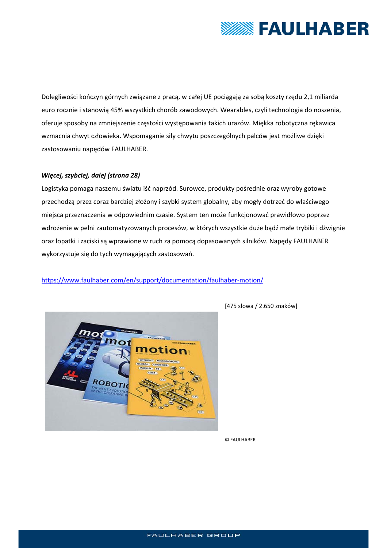

Dolegliwości kończyn górnych związane z pracą, w całej UE pociągają za sobą koszty rzędu 2,1 miliarda euro rocznie i stanowią 45% wszystkich chorób zawodowych. Wearables, czyli technologia do noszenia, oferuje sposoby na zmniejszenie częstości występowania takich urazów. Miękka robotyczna rękawica wzmacnia chwyt człowieka. Wspomaganie siły chwytu poszczególnych palców jest możliwe dzięki zastosowaniu napędów FAULHABER.

## *Więcej, szybciej, dalej (strona 28)*

Logistyka pomaga naszemu światu iść naprzód. Surowce, produkty pośrednie oraz wyroby gotowe przechodzą przez coraz bardziej złożony i szybki system globalny, aby mogły dotrzeć do właściwego miejsca przeznaczenia w odpowiednim czasie. System ten może funkcjonować prawidłowo poprzez wdrożenie w pełni zautomatyzowanych procesów, w których wszystkie duże bądź małe trybiki i dźwignie oraz łopatki i zaciski są wprawione w ruch za pomocą dopasowanych silników. Napędy FAULHABER wykorzystuje się do tych wymagających zastosowań.

## https://www.faulhaber.com/en/support/documentation/faulhaber-motion/



[475 słowa / 2.650 znaków]

© FAULHABER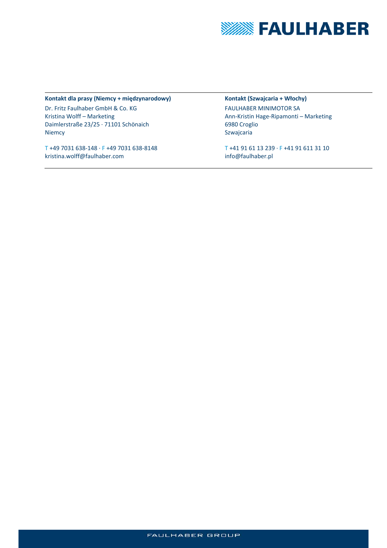

#### **Kontakt dla prasy (Niemcy + międzynarodowy)**

Dr. Fritz Faulhaber GmbH & Co. KG Kristina Wolff – Marketing Daimlerstraße 23/25 ∙ 71101 Schönaich Niemcy

T +49 7031 638‐148 ∙ F +49 7031 638‐8148 kristina.wolff@faulhaber.com

**Kontakt (Szwajcaria + Włochy)**  FAULHABER MINIMOTOR SA Ann‐Kristin Hage‐Ripamonti – Marketing 6980 Croglio Szwajcaria

T +41 91 61 13 239 ∙ F +41 91 611 31 10 info@faulhaber.pl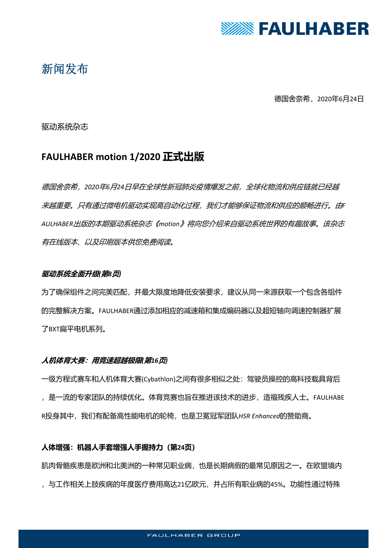

# 新闻发布

德国舍奈希,2020年6月24日

## 驱动系统杂志

## **FAULHABER motion 1/2020 正式出版**

德国舍奈希,*2020*年*6*月*24*日早在全球性新冠肺炎疫情爆发之前,全球化物流和供应链就已经越 来越重要。只有通过微电机驱动实现高自动化过程,我们才能够保证物流和供应的顺畅进行。由*F AULHABER*出版的本期驱动系统杂志《*motion*》将向您介绍来自驱动系统世界的有趣故事。该杂志 有在线版本、以及印刷版本供您免费阅读。

## **驱动系统全面升级***(***第***8***页***)*

为了确保组件之间完美匹配,并最大限度地降低安装要求,建议从同一来源获取一个包含各组件 的完整解决方案。FAULHABER通过添加相应的减速箱和集成编码器以及超短轴向调速控制器扩展 了BXT扁平电机系列。

## **人机体育大赛:用竞速超越极限***(***第***16***页***)*

一级方程式赛车和人机体育大赛(Cybathlon)之间有很多相似之处:驾驶员操控的高科技载具背后 ,是一流的专家团队的持续优化。体育竞赛也旨在推进该技术的进步,造福残疾人士。FAULHABE R投身其中,我们有配备高性能电机的轮椅,也是卫冕冠军团队*HSR Enhanced*的赞助商。

## **人体增强:机器人手套增强人手握持力(第24页)**

肌肉骨骼疾患是欧洲和北美洲的一种常见职业病,也是长期病假的最常见原因之一。在欧盟境内 ,与工作相关上肢疾病的年度医疗费用高达21亿欧元,并占所有职业病的45%。功能性通过特殊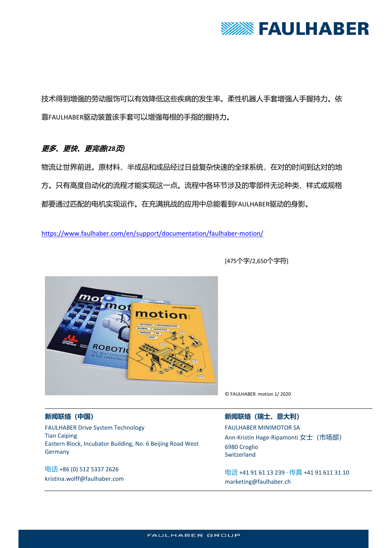

技术得到增强的劳动服饰可以有效降低这些疾病的发生率。柔性机器人手套增强人手握持力。依 靠FAULHABER驱动装置该手套可以增强每根的手指的握持力。

## **更多、更快、更完善***(28***页***)*

物流让世界前进。原材料、半成品和成品经过日益复杂快速的全球系统,在对的时间到达对的地 方。只有高度自动化的流程才能实现这一点。流程中各环节涉及的零部件无论种类、样式或规格 都要通过匹配的电机实现运作。在充满挑战的应用中总能看到FAULHABER驱动的身影。

https://www.faulhaber.com/en/support/documentation/faulhaber-motion/



[475个字/2,650个字符]

© FAULHABER motion 1/ 2020

## **新闻联络(中国)**

FAULHABER Drive System Technology Tian Caiping Eastern Block, Incubator Building, No. 6 Beijing Road West Germany

电话 +86 (0) 512 5337 2626 kristina.wolff@faulhaber.com

## **新闻联络(瑞士、意大利)**

FAULHABER MINIMOTOR SA Ann‐Kristin Hage‐Ripamonti 女士(市场部) 6980 Croglio Switzerland